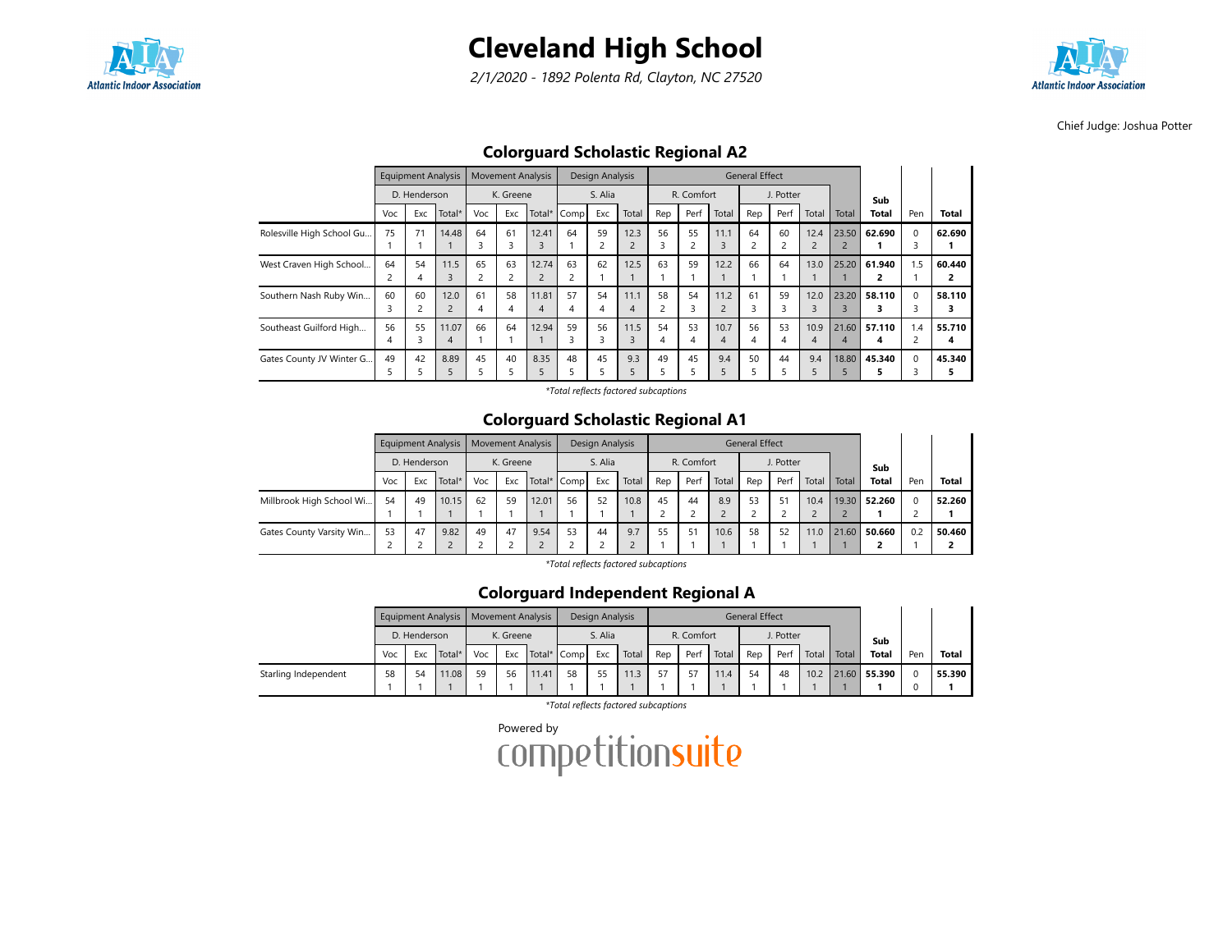

2/1/2020 - 1892 Polenta Rd, Clayton, NC 27520



Chief Judge: Joshua Potter

## Colorguard Scholastic Regional A2

|                           |                      | <b>Equipment Analysis</b> |                        |                      | <b>Movement Analysis</b> |                         |             | <b>Design Analysis</b> |                        |                      |            |           | <b>General Effect</b> |           |                        |                                  |              |               |              |
|---------------------------|----------------------|---------------------------|------------------------|----------------------|--------------------------|-------------------------|-------------|------------------------|------------------------|----------------------|------------|-----------|-----------------------|-----------|------------------------|----------------------------------|--------------|---------------|--------------|
|                           |                      | D. Henderson              |                        |                      | K. Greene                |                         |             | S. Alia                |                        |                      | R. Comfort |           |                       | J. Potter |                        |                                  | Sub          |               |              |
|                           | Voc                  | Exc                       | Total*                 | Voc                  | Exc                      |                         | Total* Comp | Exc                    | Total                  | Rep                  | Perf       | Total     | Rep                   | Perf      | Total                  | Total                            | <b>Total</b> | Pen           | <b>Total</b> |
| Rolesville High School Gu | 75                   | 71                        | 14.48                  | 64<br>3              | 61<br>3                  | 12.41<br>3              | 64          | 59<br>۷                | 12.3                   | 56<br>3              | 55         | 11.1<br>3 | 64<br>2               | 60        | 12.4<br>$\overline{2}$ | 23.50<br>$\overline{\mathbf{c}}$ | 62.690       | $\Omega$      | 62.690       |
| West Craven High School   | 64<br>$\overline{c}$ | 54<br>4                   | 11.5<br>3              | 65<br>$\overline{c}$ | 63                       | 12.74                   | 63          | 62                     | 12.5                   | 63                   | 59         | 12.2      | 66                    | 64        | 13.0                   | 25.20                            | 61.940       | 1.5           | 60.440       |
| Southern Nash Ruby Win    | 60<br>3              | 60                        | 12.0<br>$\overline{2}$ | 61<br>4              | 58<br>4                  | 11.81<br>$\overline{4}$ | 57<br>4     | 54<br>4                | 11.1<br>$\overline{4}$ | 58<br>$\overline{2}$ | 54<br>3    | 11.2      | 61<br>3               | 59<br>3   | 12.0<br>3              | 23.20<br>3                       | 58.110       | $\Omega$<br>3 | 58.110<br>З  |
| Southeast Guilford High   | 56<br>4              | 55<br>3                   | 11.07<br>4             | 66                   | 64                       | 12.94                   | 59<br>3     | 56<br>3                | 11.5<br>3              | 54<br>4              | 53<br>4    | 10.7<br>4 | 56<br>4               | 53<br>4   | 10.9<br>4              | 21.60<br>4                       | 57.110<br>4  | 1.4           | 55.710<br>4  |
| Gates County JV Winter G  | 49<br>5              | 42                        | 8.89<br>5              | 45                   | 40                       | 8.35                    | 48          | 45                     | 9.3                    | 49<br>5              | 45         | 9.4       | 50                    | 44        | 9.4<br>5               | 18.80                            | 45.340       | $\Omega$      | 45.340       |

\*Total reflects factored subcaptions

### Colorguard Scholastic Regional A1

|                          |     |              | <b>Equipment Analysis</b> |     |                                 | <b>Movement Analysis</b> |    | Design Analysis |       |     |            |       | <b>General Effect</b> |           |       |       |              |     |              |
|--------------------------|-----|--------------|---------------------------|-----|---------------------------------|--------------------------|----|-----------------|-------|-----|------------|-------|-----------------------|-----------|-------|-------|--------------|-----|--------------|
|                          |     | D. Henderson |                           |     | K. Greene<br>Exc<br>Total* Comp |                          |    | S. Alia         |       |     | R. Comfort |       |                       | J. Potter |       |       | Sub          |     |              |
|                          | Voc | Exc          | Total*                    | Voc |                                 |                          |    | Exc             | Total | Rep | Perf       | Total | Rep                   | Perf      | Total | Total | <b>Total</b> | Pen | <b>Total</b> |
| Millbrook High School Wi | 54  | 49           | 10.15                     | 62  | 59                              | 12.01                    | 56 | 52              | 10.8  | 45  | 44         | 8.9   | 53                    | 51        | 10.4  |       | 19.30 52.260 | 0   | 52.260       |
|                          |     |              |                           |     |                                 |                          |    |                 |       |     |            |       |                       |           |       |       |              |     |              |
| Gates County Varsity Win | 53  | 47           | 9.82                      | 49  | 47                              | 9.54                     | 53 | 44              | 9.7   | 55  | 51         | 10.6  | 58                    | 52        | 11.0  | 21.60 | 50.660       | 0.2 | 50.460       |
|                          |     |              |                           |     |                                 |                          |    |                 |       |     |            |       |                       |           |       |       |              |     |              |

\*Total reflects factored subcaptions

### Colorguard Independent Regional A

|                      |     |                               | Equipment Analysis   Movement Analysis |     |           |             |    | Design Analysis |       |     |            |       | <b>General Effect</b> |           |       |       |              |     |              |
|----------------------|-----|-------------------------------|----------------------------------------|-----|-----------|-------------|----|-----------------|-------|-----|------------|-------|-----------------------|-----------|-------|-------|--------------|-----|--------------|
|                      |     | D. Henderson<br>Total*<br>Exc |                                        |     | K. Greene |             |    | S. Alia         |       |     | R. Comfort |       |                       | J. Potter |       |       | Sub          |     |              |
|                      | Voc |                               |                                        | Voc | Exc       | Total* Comp |    | Exc             | Total | Rep | Perf       | Total | Rep                   | Perf      | Total | Total | <b>Total</b> | Pen | <b>Total</b> |
| Starling Independent | 58  | 54                            | 11.08                                  | 59  | 56        | 11.41       | 58 | 55              |       | 57  |            | 11.4  | 54                    | 48        | 10.2  |       | 21.60 55.390 |     | 55.390       |

\*Total reflects factored subcaptions

Powered by<br>COMPetitionsuite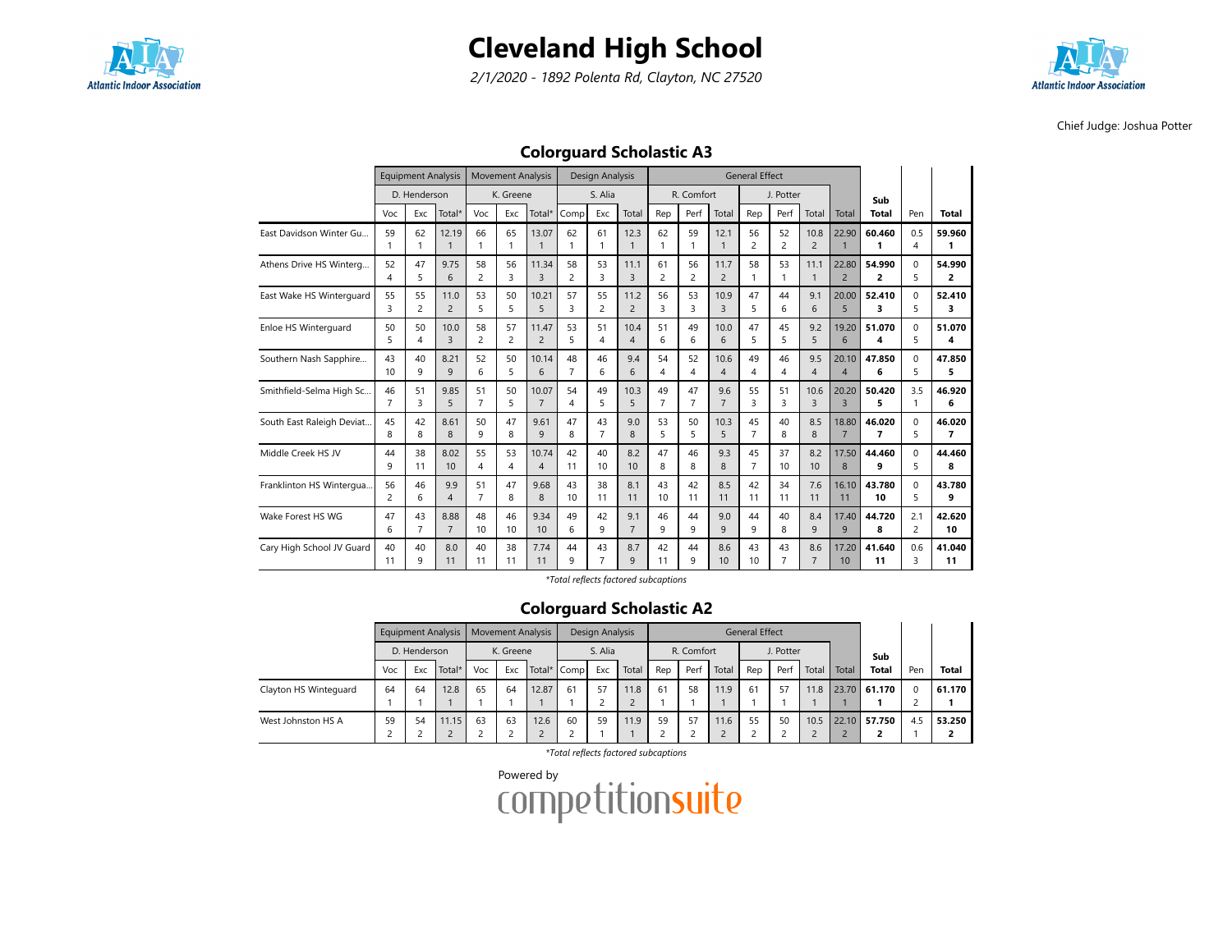

2/1/2020 - 1892 Polenta Rd, Clayton, NC 27520



Chief Judge: Joshua Potter

## Colorguard Scholastic A3

|                           |                | <b>Equipment Analysis</b> |                       |                      | <b>Movement Analysis</b> |                         |                      | Design Analysis |                        |                      |                      |                        | <b>General Effect</b> |                      |                        |                         |                |                |                          |
|---------------------------|----------------|---------------------------|-----------------------|----------------------|--------------------------|-------------------------|----------------------|-----------------|------------------------|----------------------|----------------------|------------------------|-----------------------|----------------------|------------------------|-------------------------|----------------|----------------|--------------------------|
|                           |                | D. Henderson              |                       |                      | K. Greene                |                         |                      | S. Alia         |                        |                      | R. Comfort           |                        |                       | J. Potter            |                        |                         | Sub            |                |                          |
|                           | Voc            | Exc                       | Total*                | Voc                  | Exc                      | Total*                  | Comp                 | Exc             | Total                  | Rep                  | Perf                 | Total                  | Rep                   | Perf                 | Total                  | Total                   | <b>Total</b>   | Pen            | <b>Total</b>             |
| East Davidson Winter Gu   | 59             | 62<br>1                   | 12.19<br>$\mathbf{1}$ | 66<br>$\mathbf{1}$   | 65<br>$\mathbf{1}$       | 13.07                   | 62                   | 61<br>1         | 12.3<br>$\mathbf{1}$   | 62<br>1              | 59                   | 12.1<br>$\mathbf{1}$   | 56<br>$\overline{c}$  | 52<br>$\overline{c}$ | 10.8<br>$\overline{2}$ | 22.90                   | 60.460         | 0.5<br>4       | 59.960                   |
| Athens Drive HS Winterg   | 52<br>4        | 47<br>5                   | 9.75<br>6             | 58<br>$\overline{c}$ | 56<br>3                  | 11.34<br>$\overline{3}$ | 58<br>$\overline{c}$ | 53<br>3         | 11.1<br>$\overline{3}$ | 61<br>$\overline{c}$ | 56<br>$\overline{2}$ | 11.7<br>$\overline{2}$ | 58                    | 53<br>1              | 11.1<br>$\mathbf{1}$   | 22.80<br>$\overline{2}$ | 54.990<br>2    | $\Omega$<br>5  | 54.990<br>2              |
| East Wake HS Winterguard  | 55             | 55                        | 11.0                  | 53                   | 50                       | 10.21                   | 57                   | 55              | 11.2                   | 56                   | 53                   | 10.9                   | 47                    | 44                   | 9.1                    | 20.00                   | 52.410         | $\Omega$       | 52.410                   |
|                           | $\mathbf{R}$   | 2                         | $\overline{2}$        | 5                    | 5                        | 5                       | 3                    | 2               | $\overline{2}$         | 3                    | 3                    | $\overline{3}$         | 5                     | 6                    | 6                      | 5                       | 3              | 5              | 3                        |
| Enloe HS Winterguard      | 50             | 50                        | 10.0                  | 58                   | 57                       | 11.47                   | 53                   | 51              | 10.4                   | 51                   | 49                   | 10.0                   | 47                    | 45                   | 9.2                    | 19.20                   | 51.070         | $\Omega$       | 51.070                   |
|                           | 5              | 4                         | 3                     | $\overline{2}$       | $\overline{c}$           | $\overline{2}$          | 5                    | 4               | $\overline{4}$         | 6                    | 6                    | 6                      | 5                     | 5                    | 5                      | 6                       | 4              | 5              | 4                        |
| Southern Nash Sapphire    | 43             | 40                        | 8.21                  | 52                   | 50                       | 10.14                   | 48                   | 46              | 9.4                    | 54                   | 52                   | 10.6                   | 49                    | 46                   | 9.5                    | 20.10                   | 47.850         | $\Omega$       | 47.850                   |
|                           | 10             | 9                         | 9                     | 6                    | 5                        | 6                       | $\overline{7}$       | 6               | 6                      | 4                    | 4                    | $\overline{4}$         | 4                     | 4                    | $\overline{4}$         | $\overline{4}$          | 6              | 5              | 5                        |
| Smithfield-Selma High Sc  | 46             | 51                        | 9.85                  | 51                   | 50                       | 10.07                   | 54                   | 49              | 10.3                   | 49                   | 47                   | 9.6                    | 55                    | 51                   | 10.6                   | 20.20                   | 50.420         | 3.5            | 46.920                   |
|                           | $\overline{7}$ | 3                         | 5                     | $\overline{7}$       | 5                        | $\overline{7}$          | 4                    | 5               | 5                      | $\overline{7}$       | $\overline{7}$       | $\overline{7}$         | 3                     | 3                    | $\overline{3}$         | $\overline{3}$          | 5              | 1              | 6                        |
| South East Raleigh Deviat | 45             | 42                        | 8.61                  | 50                   | 47                       | 9.61                    | 47                   | 43              | 9.0                    | 53                   | 50                   | 10.3                   | 45                    | 40                   | 8.5                    | 18.80                   | 46.020         | $\Omega$       | 46.020                   |
|                           | 8              | 8                         | 8                     | 9                    | 8                        | $\mathsf{q}$            | 8                    | $\overline{7}$  | 8                      | 5                    | 5                    | 5                      | $\overline{7}$        | 8                    | 8                      | $\overline{7}$          | $\overline{7}$ | 5              | $\overline{\phantom{a}}$ |
| Middle Creek HS JV        | 44             | 38                        | 8.02                  | 55                   | 53                       | 10.74                   | 42                   | 40              | 8.2                    | 47                   | 46                   | 9.3                    | 45                    | 37                   | 8.2                    | 17.50                   | 44.460         | $\Omega$       | 44.460                   |
|                           | 9              | 11                        | 10                    | 4                    | $\overline{4}$           | $\overline{4}$          | 11                   | 10              | 10                     | 8                    | 8                    | 8                      | $\overline{7}$        | 10                   | 10 <sup>10</sup>       | 8                       | 9              | 5              | 8                        |
| Franklinton HS Wintergua  | 56             | 46                        | 9.9                   | 51                   | 47                       | 9.68                    | 43                   | 38              | 8.1                    | 43                   | 42                   | 8.5                    | 42                    | 34                   | 7.6                    | 16.10                   | 43.780         | $\Omega$       | 43.780                   |
|                           | $\overline{2}$ | 6                         | $\overline{4}$        | $\overline{7}$       | 8                        | 8                       | 10 <sup>10</sup>     | 11              | 11                     | 10                   | 11                   | 11                     | 11                    | 11                   | 11                     | 11                      | 10             | 5              | 9                        |
| Wake Forest HS WG         | 47             | 43                        | 8.88                  | 48                   | 46                       | 9.34                    | 49                   | 42              | 9.1                    | 46                   | 44                   | 9.0                    | 44                    | 40                   | 8.4                    | 17.40                   | 44.720         | 2.1            | 42.620                   |
|                           | 6              | $\overline{7}$            | $\overline{7}$        | 10                   | 10                       | 10                      | 6                    | 9               | $\overline{7}$         | 9                    | 9                    | $\mathsf{q}$           | 9                     | 8                    | 9                      | 9                       | 8              | $\overline{2}$ | 10                       |
| Cary High School JV Guard | 40             | 40                        | 8.0                   | 40                   | 38                       | 7.74                    | 44                   | 43              | 8.7                    | 42                   | 44                   | 8.6                    | 43                    | 43                   | 8.6                    | 17.20                   | 41.640         | 0.6            | 41.040                   |
|                           | 11             | 9                         | 11                    | 11                   | 11                       | 11                      | 9                    | $\overline{7}$  | $\mathsf{q}$           | 11                   | 9                    | 10                     | 10                    | $\overline{7}$       | $\overline{7}$         | 10                      | 11             | 3              | 11                       |

\*Total reflects factored subcaptions

### Colorguard Scholastic A2

|                       |     |              | Equipment Analysis |     |           | <b>Movement Analysis</b> |             | Design Analysis |       |     |            |       | <b>General Effect</b> |           |       |       |              |     |              |
|-----------------------|-----|--------------|--------------------|-----|-----------|--------------------------|-------------|-----------------|-------|-----|------------|-------|-----------------------|-----------|-------|-------|--------------|-----|--------------|
|                       |     | D. Henderson |                    |     | K. Greene |                          |             | S. Alia         |       |     | R. Comfort |       |                       | J. Potter |       |       | Sub          |     |              |
|                       | Voc | Exc          | Total*             | Voc | Exc       |                          | Total* Comp | Exc             | Total | Rep | Perf       | Total | Rep                   | Perf      | Total | Total | <b>Total</b> | Pen | <b>Total</b> |
| Clayton HS Winteguard | 64  | 64           | 12.8               | 65  | 64        | 12.87                    | 61          | 57              | 11.8  | 61  | 58         | 11.9  | 61                    | 57        | 11.8  |       | 23.70 61.170 |     | 61.170       |
|                       |     |              |                    |     |           |                          |             |                 |       |     |            |       |                       |           |       |       |              |     |              |
| West Johnston HS A    | 59  | 54           | 11.15              | 63  | 63        | 12.6                     | 60          | 59              | 11.9  | 59  | 57         | 11.6  | 55                    | 50        | 10.5  | 22.10 | 57.750       | 4.5 | 53.250       |

\*Total reflects factored subcaptions

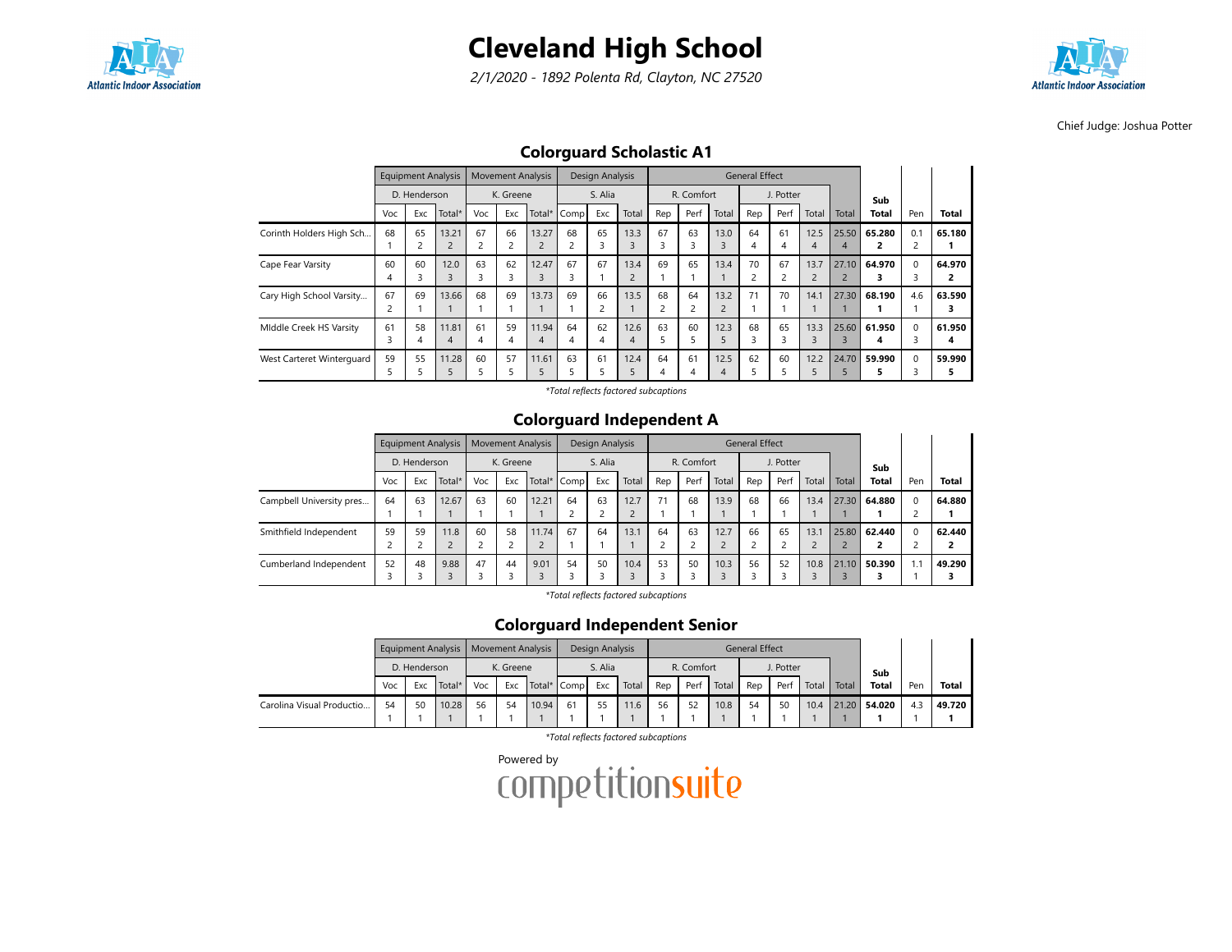

2/1/2020 - 1892 Polenta Rd, Clayton, NC 27520



Chief Judge: Joshua Potter

## Colorguard Scholastic A1

|                           |     | <b>Equipment Analysis</b> |                |     | <b>Movement Analysis</b> |                |             | Design Analysis |                |                |            |                | <b>General Effect</b> |           |                |       |              |          |                |
|---------------------------|-----|---------------------------|----------------|-----|--------------------------|----------------|-------------|-----------------|----------------|----------------|------------|----------------|-----------------------|-----------|----------------|-------|--------------|----------|----------------|
|                           |     | D. Henderson              |                |     | K. Greene                |                |             | S. Alia         |                |                | R. Comfort |                |                       | J. Potter |                |       | Sub          |          |                |
|                           | Voc | Exc                       | Total*         | Voc | Exc                      |                | Total* Comp | Exc             | Total          | Rep            | Perf       | Total          | Rep                   | Perf      | Total          | Total | <b>Total</b> | Pen      | <b>Total</b>   |
| Corinth Holders High Sch  | 68  | 65                        | 13.21          | 67  | 66                       | 13.27          | 68          | 65              | 13.3           | 67             | 63         | 13.0           | 64                    | 61        | 12.5           | 25.50 | 65.280       | 0.1      | 65.180         |
|                           |     |                           | $\overline{2}$ | 2   | 2                        | $\overline{2}$ |             | 3               | 3              | 3              | 3          | 3              | 4                     | 4         | 4              | 4     |              |          |                |
| Cape Fear Varsity         | 60  | 60                        | 12.0           | 63  | 62                       | 12.47          | 67          | 67              | 13.4           | 69             | 65         | 13.4           | 70                    | 67        | 13.7           | 27.10 | 64.970       | $\Omega$ | 64.970         |
|                           |     |                           | 3              | 3   | 3                        | $\overline{3}$ |             |                 | $\overline{c}$ |                |            |                |                       | ∍         | $\overline{2}$ |       |              |          | $\overline{2}$ |
| Cary High School Varsity  | 67  | 69                        | 13.66          | 68  | 69                       | 13.73          | 69          | 66              | 13.5           | 68             | 64         | 13.2           | 71                    | 70        | 14.1           | 27.30 | 68.190       | 4.6      | 63.590         |
|                           |     |                           |                |     |                          |                |             | ∍<br>ے          |                | $\overline{c}$ |            | $\overline{2}$ |                       |           |                |       |              |          | з              |
| Middle Creek HS Varsity   | 61  | 58                        | 11.81          | 61  | 59                       | 11.94          | 64          | 62              | 12.6           | 63             | 60         | 12.3           | 68                    | 65        | 13.3           | 25.60 | 61.950       | $\Omega$ | 61.950         |
|                           |     | 4                         | 4              | 4   | 4                        | 4              |             | 4               | 4              | 5              |            |                |                       | 3         | 3              |       | 4            |          | 4              |
| West Carteret Winterguard | 59  | 55                        | 11.28          | 60  | 57                       | 11.61          | 63          | 61              | 12.4           | 64             | 61         | 12.5           | 62                    | 60        | 12.2           | 24.70 | 59.990       | $\Omega$ | 59.990         |
|                           |     |                           |                |     | כ                        |                |             |                 |                | 4              | 4          | $\overline{A}$ |                       |           | ב              |       |              |          | 5              |

\*Total reflects factored subcaptions

#### Colorguard Independent A

|                          |     |              | <b>Equipment Analysis</b> |     |           | <b>Movement Analysis</b> |             | Design Analysis |       |         |            |       | <b>General Effect</b> |           |                    |       |              |                                      |              |
|--------------------------|-----|--------------|---------------------------|-----|-----------|--------------------------|-------------|-----------------|-------|---------|------------|-------|-----------------------|-----------|--------------------|-------|--------------|--------------------------------------|--------------|
|                          |     | D. Henderson |                           |     | K. Greene |                          |             | S. Alia         |       |         | R. Comfort |       |                       | J. Potter |                    |       | Sub          |                                      |              |
|                          | Voc | Exc          | Total*                    | Voc | Exc       |                          | Total* Comp | Exc             | Total | Rep     | Perf       | Total | Rep                   | Perf      | Total              | Total | <b>Total</b> | Pen                                  | <b>Total</b> |
| Campbell University pres | 64  | 63           | 12.67                     | 63  | 60        | 12.21                    | 64          | 63              | 12.7  | 71      | 68         | 13.9  | 68                    | 66        | 13.4               | 27.30 | 64.880       | $\Omega$<br>$\overline{\phantom{0}}$ | 64.880       |
| Smithfield Independent   | 59  | 59           | 11.8                      | 60  | 58        | 11.74                    | 67          | 64              | 13.1  | 64<br>n | 63         | 12.7  | 66                    | 65        | 13.1<br>$\epsilon$ | 25.80 | 62.440       | $\Omega$                             | 62.440       |
| Cumberland Independent   | 52  | 48           | 9.88                      | 47  | 44        | 9.01                     | 54          | 50              | 10.4  | 53<br>З | 50         | 10.3  | 56                    | 52        | 10.8               | 21.10 | 50.390       | 1.1                                  | 49.290       |

\*Total reflects factored subcaptions

#### Colorguard Independent Senior

|                           |     |              | Equipment Analysis   Movement Analysis |     |           |             |    | Design Analysis |       |     |            |       | <b>General Effect</b> |           |       |       |              |     |              |
|---------------------------|-----|--------------|----------------------------------------|-----|-----------|-------------|----|-----------------|-------|-----|------------|-------|-----------------------|-----------|-------|-------|--------------|-----|--------------|
|                           |     | D. Henderson |                                        |     | K. Greene |             |    | S. Alia         |       |     | R. Comfort |       |                       | J. Potter |       |       | Sub          |     |              |
|                           | Voc | Exc          | Total*                                 | Voc | Exc       | Total* Comp |    | Exc             | Total | Rep | Perf       | Total | Rep                   | Perf      | Total | Total | <b>Total</b> | Pen | <b>Total</b> |
| Carolina Visual Productio | 54  | 50           | 10.28                                  | 56  | 54        | 10.94       | 61 | 55              | 11.6  | 56  | 52         | 10.8  | 54                    | 50        | 10.4  |       | 21.20 54.020 | 4.3 | 49.720       |
|                           |     |              |                                        |     |           |             |    |                 |       |     |            |       |                       |           |       |       |              |     |              |

\*Total reflects factored subcaptions